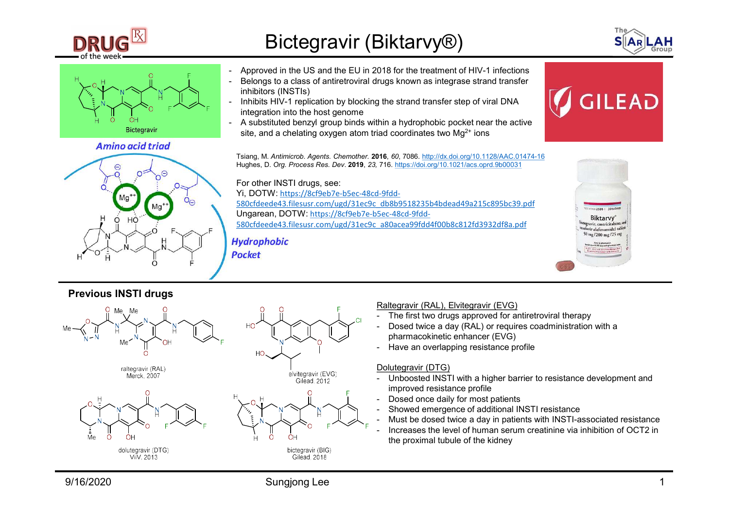





## Previous INSTI drugs









- 
- pharmacokinetic enhancer (EVG)
- 

- Dolutegravir (DTG)<br>- Unboosted INSTI with a higher barrier to resistance development and improved resistance profile
- 
- 
- 
- the proximal tubule of the kidney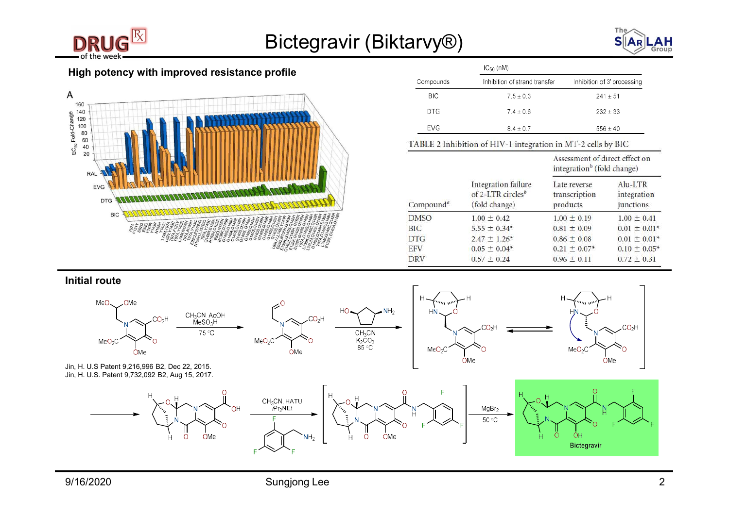





| Bictegravir (Biktarvy <sup>®</sup> ) |                       |                                                                       |                                                                          |                                     |
|--------------------------------------|-----------------------|-----------------------------------------------------------------------|--------------------------------------------------------------------------|-------------------------------------|
| profile                              |                       | $IC_{50}$ (nM)                                                        |                                                                          |                                     |
|                                      |                       |                                                                       |                                                                          |                                     |
|                                      | Compounds             | Inhibition of strand transfer                                         |                                                                          | Inhibition of 3' processing         |
|                                      | <b>BIC</b>            | $7.5 \pm 0.3$                                                         |                                                                          | $241 \pm 51$                        |
|                                      | <b>DTG</b>            | $7.4 \pm 0.6$                                                         |                                                                          | $232 \pm 33$                        |
|                                      | <b>EVG</b>            | $8.4 \pm 0.7$                                                         |                                                                          | $556 \pm 40$                        |
|                                      |                       | TABLE 2 Inhibition of HIV-1 integration in MT-2 cells by BIC          |                                                                          |                                     |
|                                      |                       |                                                                       | Assessment of direct effect on<br>integration <sup>b</sup> (fold change) |                                     |
|                                      | Compound <sup>a</sup> | Integration failure<br>of 2-LTR circles <sup>b</sup><br>(fold change) | Late reverse<br>transcription<br>products                                | Alu-LTR<br>integration<br>junctions |

Initial route